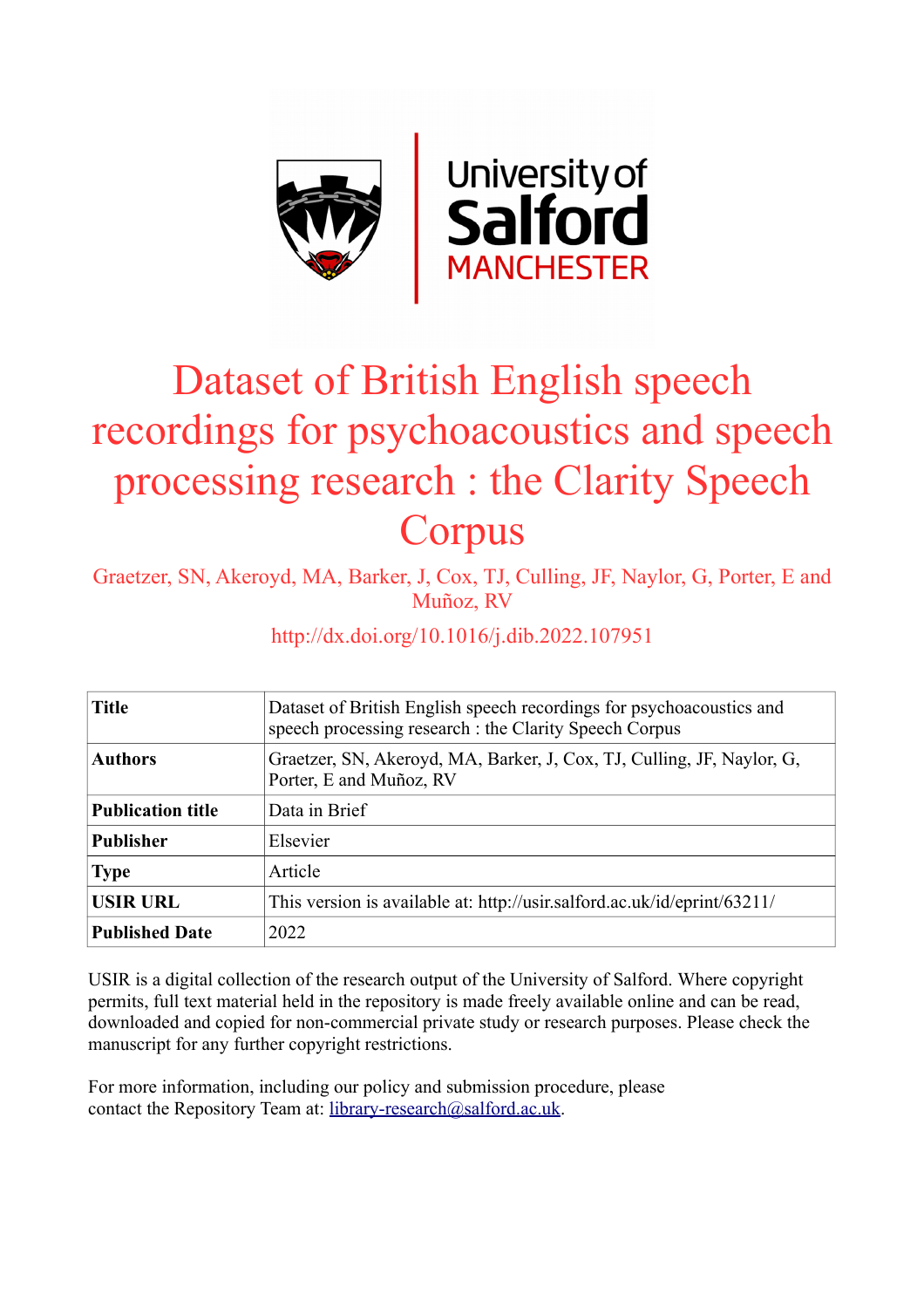

# Dataset of British English speech recordings for psychoacoustics and speech processing research : the Clarity Speech Corpus

Graetzer, SN, Akeroyd, MA, Barker, J, Cox, TJ, Culling, JF, Naylor, G, Porter, E and Muñoz, RV

## http://dx.doi.org/10.1016/j.dib.2022.107951

| <b>Title</b>             | Dataset of British English speech recordings for psychoacoustics and<br>speech processing research : the Clarity Speech Corpus |  |  |
|--------------------------|--------------------------------------------------------------------------------------------------------------------------------|--|--|
| <b>Authors</b>           | Graetzer, SN, Akeroyd, MA, Barker, J, Cox, TJ, Culling, JF, Naylor, G,<br>Porter, E and Muñoz, RV                              |  |  |
| <b>Publication title</b> | Data in Brief                                                                                                                  |  |  |
| <b>Publisher</b>         | Elsevier                                                                                                                       |  |  |
| <b>Type</b>              | Article                                                                                                                        |  |  |
| <b>USIR URL</b>          | This version is available at: http://usir.salford.ac.uk/id/eprint/63211/                                                       |  |  |
| <b>Published Date</b>    | 2022                                                                                                                           |  |  |

USIR is a digital collection of the research output of the University of Salford. Where copyright permits, full text material held in the repository is made freely available online and can be read, downloaded and copied for non-commercial private study or research purposes. Please check the manuscript for any further copyright restrictions.

For more information, including our policy and submission procedure, please contact the Repository Team at: [library-research@salford.ac.uk.](mailto:library-research@salford.ac.uk)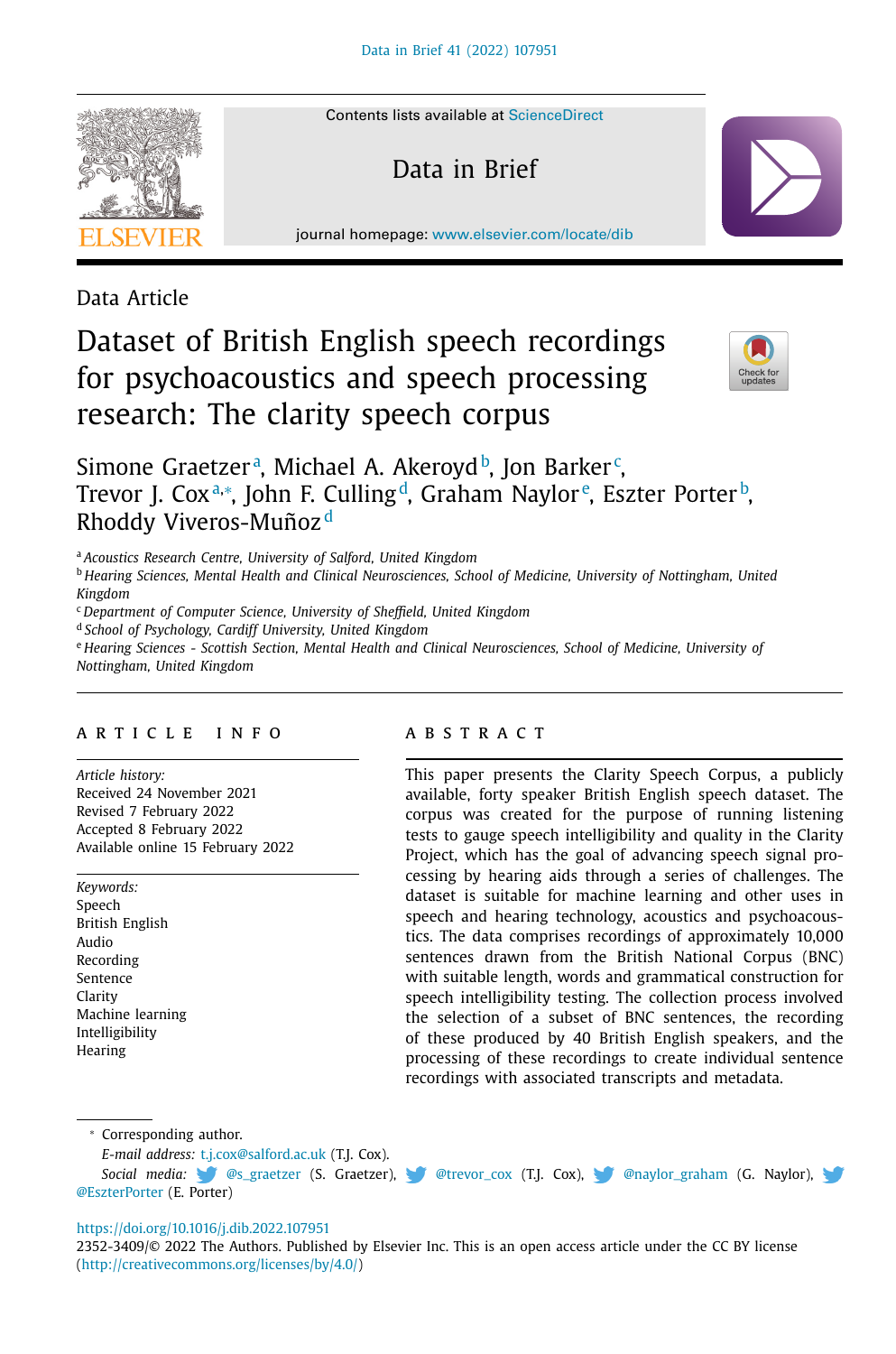

Contents lists available at [ScienceDirect](http://www.ScienceDirect.com)

Data in Brief

journal homepage: [www.elsevier.com/locate/dib](http://www.elsevier.com/locate/dib)

Data Article

## Dataset of British English speech recordings for psychoacoustics and speech processing research: The clarity speech corpus



### Simone Graetzerª, Michael A. Akeroydʰ, Jon Barker<sup>c</sup>, Trevor J. Coxª,\*, John F. Culling<sup>d</sup>, Graham Naylor<sup>e</sup>, Eszter Porter<sup>b</sup>, Rhoddy Viveros-Muñoz <sup>d</sup>

<sup>a</sup> *Acoustics Research Centre, University of Salford, United Kingdom*

<sup>b</sup> *Hearing Sciences, Mental Health and Clinical Neurosciences, School of Medicine, University of Nottingham, United Kingdom*

<sup>c</sup> *Department of Computer Science, University of Sheffield, United Kingdom*

<sup>d</sup> *School of Psychology, Cardiff University, United Kingdom*

<sup>e</sup> *Hearing Sciences - Scottish Section, Mental Health and Clinical Neurosciences, School of Medicine, University of Nottingham, United Kingdom*

#### a r t i c l e i n f o

*Article history:* Received 24 November 2021 Revised 7 February 2022 Accepted 8 February 2022 Available online 15 February 2022

*Keywords:* Speech British English Audio Recording Sentence Clarity Machine learning Intelligibility **Hearing** 

#### A B S T R A C T

This paper presents the Clarity Speech Corpus, a publicly available, forty speaker British English speech dataset. The corpus was created for the purpose of running listening tests to gauge speech intelligibility and quality in the Clarity Project, which has the goal of advancing speech signal processing by hearing aids through a series of challenges. The dataset is suitable for machine learning and other uses in speech and hearing technology, acoustics and psychoacoustics. The data comprises recordings of approximately 10,000 sentences drawn from the British National Corpus (BNC) with suitable length, words and grammatical construction for speech intelligibility testing. The collection process involved the selection of a subset of BNC sentences, the recording of these produced by 40 British English speakers, and the processing of these recordings to create individual sentence recordings with associated transcripts and metadata.

<sup>∗</sup> Corresponding author.

*E-mail address:* [t.j.cox@salford.ac.uk](mailto:t.j.cox@salford.ac.uk) (T.J. Cox).

Social media: **@S\_graetzer (S. Graetzer), @** [@trevor\\_cox](https://twitter.com/trevor_cox) (T.J. Cox), @ [@naylor\\_graham](https://twitter.com/naylor_graham) (G. Naylor), [@EszterPorter](https://twitter.com/EszterPorter) (E. [Porte](https://twitter.com/s_graetzer)r)

#### <https://doi.org/10.1016/j.dib.2022.107951>

2352-3409/© 2022 The Authors. Published by Elsevier Inc. This is an open access article under the CC BY license [\(http://creativecommons.org/licenses/by/4.0/\)](http://creativecommons.org/licenses/by/4.0/)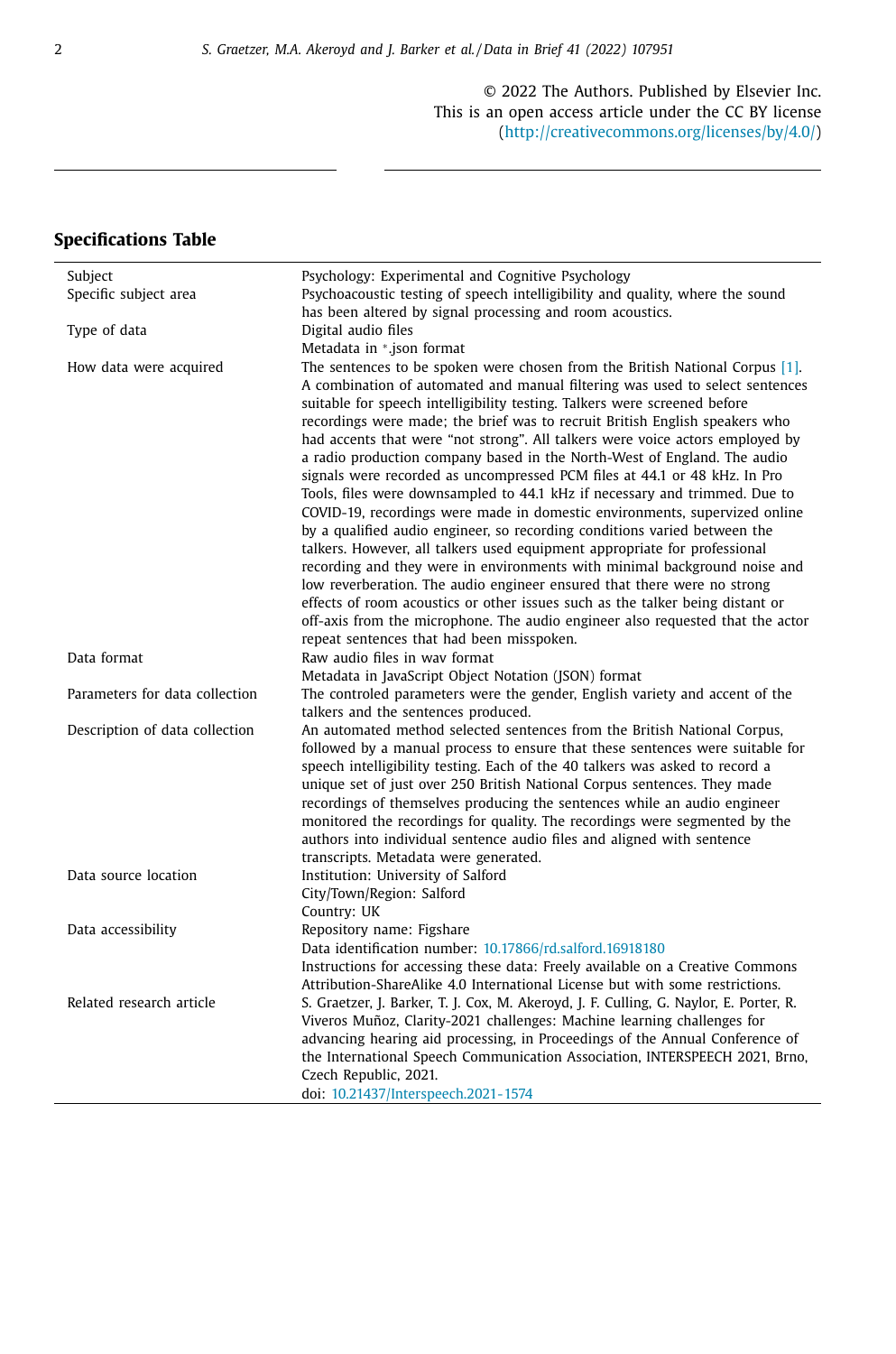© 2022 The Authors. Published by Elsevier Inc. This is an open access article under the CC BY license [\(http://creativecommons.org/licenses/by/4.0/\)](http://creativecommons.org/licenses/by/4.0/)

#### **Specifications Table**

| Subject                        | Psychology: Experimental and Cognitive Psychology                                                                                                            |
|--------------------------------|--------------------------------------------------------------------------------------------------------------------------------------------------------------|
| Specific subject area          | Psychoacoustic testing of speech intelligibility and quality, where the sound                                                                                |
|                                | has been altered by signal processing and room acoustics.                                                                                                    |
| Type of data                   | Digital audio files                                                                                                                                          |
|                                | Metadata in *.json format                                                                                                                                    |
| How data were acquired         | The sentences to be spoken were chosen from the British National Corpus [1].<br>A combination of automated and manual filtering was used to select sentences |
|                                | suitable for speech intelligibility testing. Talkers were screened before                                                                                    |
|                                | recordings were made; the brief was to recruit British English speakers who                                                                                  |
|                                | had accents that were "not strong". All talkers were voice actors employed by                                                                                |
|                                | a radio production company based in the North-West of England. The audio                                                                                     |
|                                | signals were recorded as uncompressed PCM files at 44.1 or 48 kHz. In Pro                                                                                    |
|                                | Tools, files were downsampled to 44.1 kHz if necessary and trimmed. Due to                                                                                   |
|                                | COVID-19, recordings were made in domestic environments, supervized online                                                                                   |
|                                | by a qualified audio engineer, so recording conditions varied between the                                                                                    |
|                                | talkers. However, all talkers used equipment appropriate for professional                                                                                    |
|                                | recording and they were in environments with minimal background noise and                                                                                    |
|                                | low reverberation. The audio engineer ensured that there were no strong                                                                                      |
|                                | effects of room acoustics or other issues such as the talker being distant or                                                                                |
|                                | off-axis from the microphone. The audio engineer also requested that the actor<br>repeat sentences that had been misspoken.                                  |
|                                |                                                                                                                                                              |
| Data format                    | Raw audio files in wav format                                                                                                                                |
| Parameters for data collection | Metadata in JavaScript Object Notation (JSON) format                                                                                                         |
|                                | The controled parameters were the gender, English variety and accent of the<br>talkers and the sentences produced.                                           |
| Description of data collection | An automated method selected sentences from the British National Corpus,                                                                                     |
|                                | followed by a manual process to ensure that these sentences were suitable for                                                                                |
|                                | speech intelligibility testing. Each of the 40 talkers was asked to record a                                                                                 |
|                                | unique set of just over 250 British National Corpus sentences. They made                                                                                     |
|                                | recordings of themselves producing the sentences while an audio engineer                                                                                     |
|                                | monitored the recordings for quality. The recordings were segmented by the                                                                                   |
|                                | authors into individual sentence audio files and aligned with sentence                                                                                       |
|                                | transcripts. Metadata were generated.                                                                                                                        |
| Data source location           | Institution: University of Salford                                                                                                                           |
|                                | City/Town/Region: Salford                                                                                                                                    |
|                                | Country: UK                                                                                                                                                  |
| Data accessibility             | Repository name: Figshare                                                                                                                                    |
|                                | Data identification number: 10.17866/rd.salford.16918180                                                                                                     |
|                                | Instructions for accessing these data: Freely available on a Creative Commons                                                                                |
|                                | Attribution-ShareAlike 4.0 International License but with some restrictions.                                                                                 |
| Related research article       | S. Graetzer, J. Barker, T. J. Cox, M. Akeroyd, J. F. Culling, G. Naylor, E. Porter, R.                                                                       |
|                                | Viveros Muñoz, Clarity-2021 challenges: Machine learning challenges for                                                                                      |
|                                | advancing hearing aid processing, in Proceedings of the Annual Conference of                                                                                 |
|                                | the International Speech Communication Association, INTERSPEECH 2021, Brno,                                                                                  |
|                                | Czech Republic, 2021.                                                                                                                                        |
|                                | doi: 10.21437/Interspeech.2021-1574                                                                                                                          |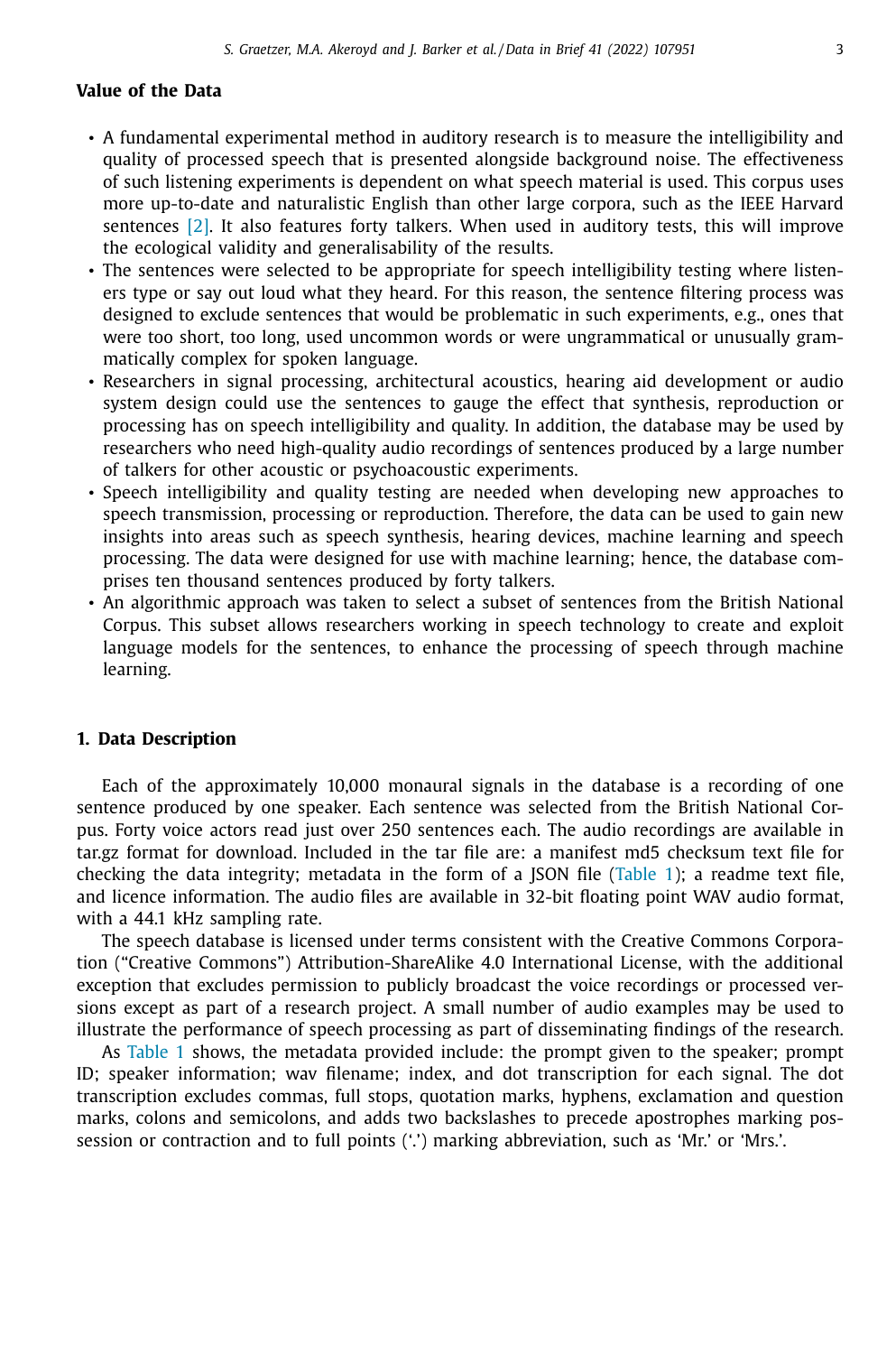#### **Value of the Data**

- A fundamental experimental method in auditory research is to measure the intelligibility and quality of processed speech that is presented alongside background noise. The effectiveness of such listening experiments is dependent on what speech material is used. This corpus uses more up-to-date and naturalistic English than other large corpora, such as the IEEE Harvard sentences [\[2\].](#page-7-0) It also features forty talkers. When used in auditory tests, this will improve the ecological validity and generalisability of the results.
- The sentences were selected to be appropriate for speech intelligibility testing where listeners type or say out loud what they heard. For this reason, the sentence filtering process was designed to exclude sentences that would be problematic in such experiments, e.g., ones that were too short, too long, used uncommon words or were ungrammatical or unusually grammatically complex for spoken language.
- Researchers in signal processing, architectural acoustics, hearing aid development or audio system design could use the sentences to gauge the effect that synthesis, reproduction or processing has on speech intelligibility and quality. In addition, the database may be used by researchers who need high-quality audio recordings of sentences produced by a large number of talkers for other acoustic or psychoacoustic experiments.
- Speech intelligibility and quality testing are needed when developing new approaches to speech transmission, processing or reproduction. Therefore, the data can be used to gain new insights into areas such as speech synthesis, hearing devices, machine learning and speech processing. The data were designed for use with machine learning; hence, the database comprises ten thousand sentences produced by forty talkers.
- An algorithmic approach was taken to select a subset of sentences from the British National Corpus. This subset allows researchers working in speech technology to create and exploit language models for the sentences, to enhance the processing of speech through machine learning.

#### **1. Data Description**

Each of the approximately 10,000 monaural signals in the database is a recording of one sentence produced by one speaker. Each sentence was selected from the British National Corpus. Forty voice actors read just over 250 sentences each. The audio recordings are available in tar.gz format for download. Included in the tar file are: a manifest md5 checksum text file for checking the data integrity; metadata in the form of a JSON file [\(Table](#page-4-0) 1); a readme text file, and licence information. The audio files are available in 32-bit floating point WAV audio format, with a 44.1 kHz sampling rate.

The speech database is licensed under terms consistent with the Creative Commons Corporation ("Creative Commons") Attribution-ShareAlike 4.0 International License, with the additional exception that excludes permission to publicly broadcast the voice recordings or processed versions except as part of a research project. A small number of audio examples may be used to illustrate the performance of speech processing as part of disseminating findings of the research.

As [Table](#page-4-0) 1 shows, the metadata provided include: the prompt given to the speaker; prompt ID; speaker information; wav filename; index, and dot transcription for each signal. The dot transcription excludes commas, full stops, quotation marks, hyphens, exclamation and question marks, colons and semicolons, and adds two backslashes to precede apostrophes marking possession or contraction and to full points ('.') marking abbreviation, such as 'Mr.' or 'Mrs.'.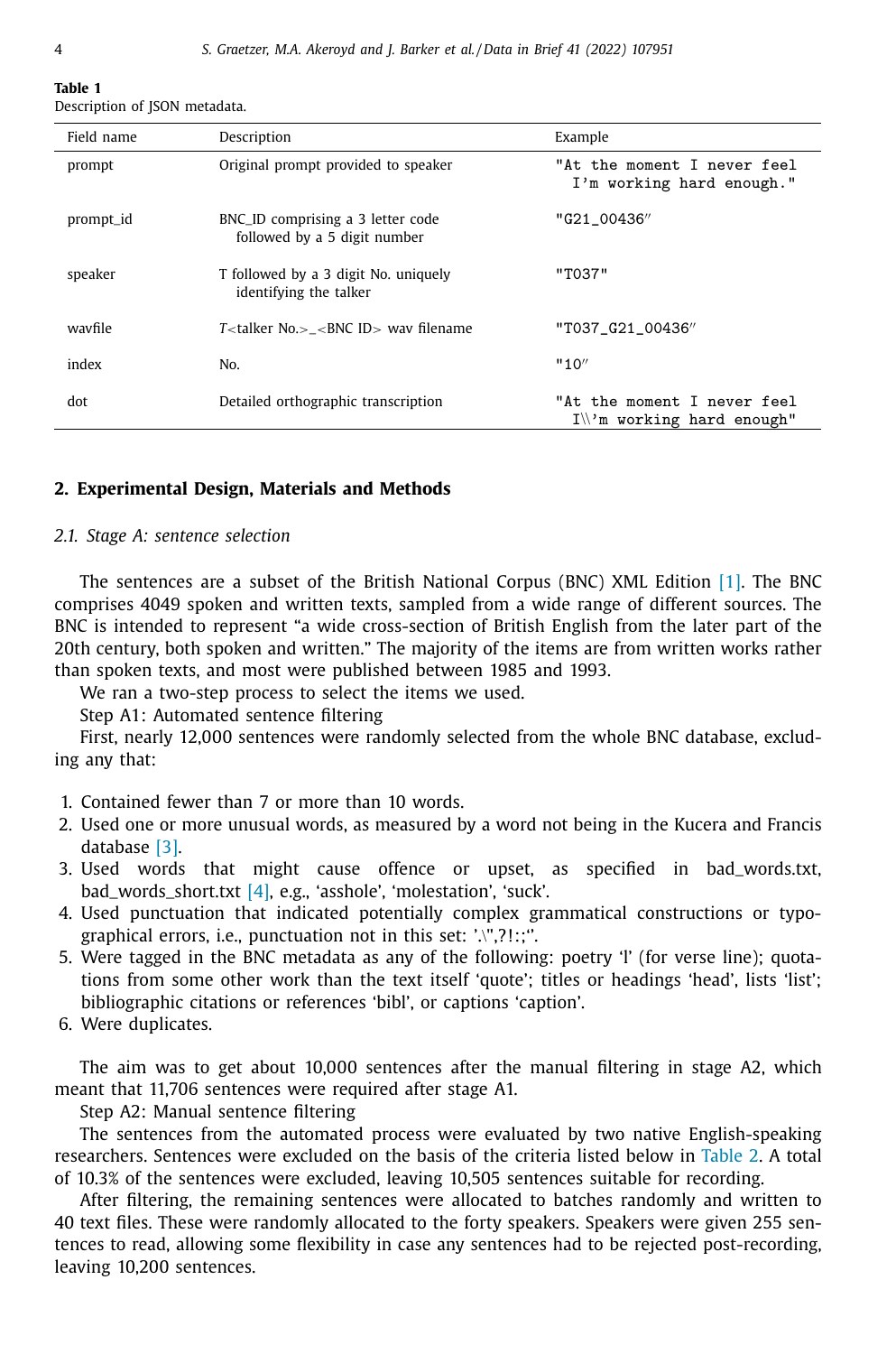#### <span id="page-4-0"></span>**Table 1** Description of JSON metadata.

| Field name | Description                                                       | Example                                                    |
|------------|-------------------------------------------------------------------|------------------------------------------------------------|
| prompt     | Original prompt provided to speaker                               | "At the moment I never feel<br>I'm working hard enough."   |
| prompt_id  | BNC_ID comprising a 3 letter code<br>followed by a 5 digit number | "G21 00436"                                                |
| speaker    | T followed by a 3 digit No. uniquely<br>identifying the talker    | "T037"                                                     |
| wavfile    | $T$ -talker No. > - BNC ID > way filename                         | "T037 G21 00436"                                           |
| index      | No.                                                               | "10"                                                       |
| dot        | Detailed orthographic transcription                               | "At the moment I never feel<br>$I\$ m working hard enough" |

#### **2. Experimental Design, Materials and Methods**

#### *2.1. Stage A: sentence selection*

The sentences are a subset of the British National Corpus (BNC) XML Edition [\[1\].](#page-7-0) The BNC comprises 4049 spoken and written texts, sampled from a wide range of different sources. The BNC is intended to represent "a wide cross-section of British English from the later part of the 20th century, both spoken and written." The majority of the items are from written works rather than spoken texts, and most were published between 1985 and 1993.

We ran a two-step process to select the items we used.

Step A1: Automated sentence filtering

First, nearly 12,000 sentences were randomly selected from the whole BNC database, excluding any that:

- 1. Contained fewer than 7 or more than 10 words.
- 2. Used one or more unusual words, as measured by a word not being in the Kucera and Francis database [\[3\].](#page-7-0)
- 3. Used words that might cause offence or upset, as specified in bad\_words.txt, bad\_words\_short.txt [\[4\],](#page-7-0) e.g., 'asshole', 'molestation', 'suck'.
- 4. Used punctuation that indicated potentially complex grammatical constructions or typographical errors, i.e., punctuation not in this set: '.\",?!:;''.
- 5. Were tagged in the BNC metadata as any of the following: poetry 'l' (for verse line); quotations from some other work than the text itself 'quote'; titles or headings 'head', lists 'list'; bibliographic citations or references 'bibl', or captions 'caption'.
- 6. Were duplicates.

The aim was to get about 10,000 sentences after the manual filtering in stage A2, which meant that 11,706 sentences were required after stage A1.

Step A2: Manual sentence filtering

The sentences from the automated process were evaluated by two native English-speaking researchers. Sentences were excluded on the basis of the criteria listed below in [Table](#page-5-0) 2. A total of 10.3% of the sentences were excluded, leaving 10,505 sentences suitable for recording.

After filtering, the remaining sentences were allocated to batches randomly and written to 40 text files. These were randomly allocated to the forty speakers. Speakers were given 255 sentences to read, allowing some flexibility in case any sentences had to be rejected post-recording, leaving 10,200 sentences.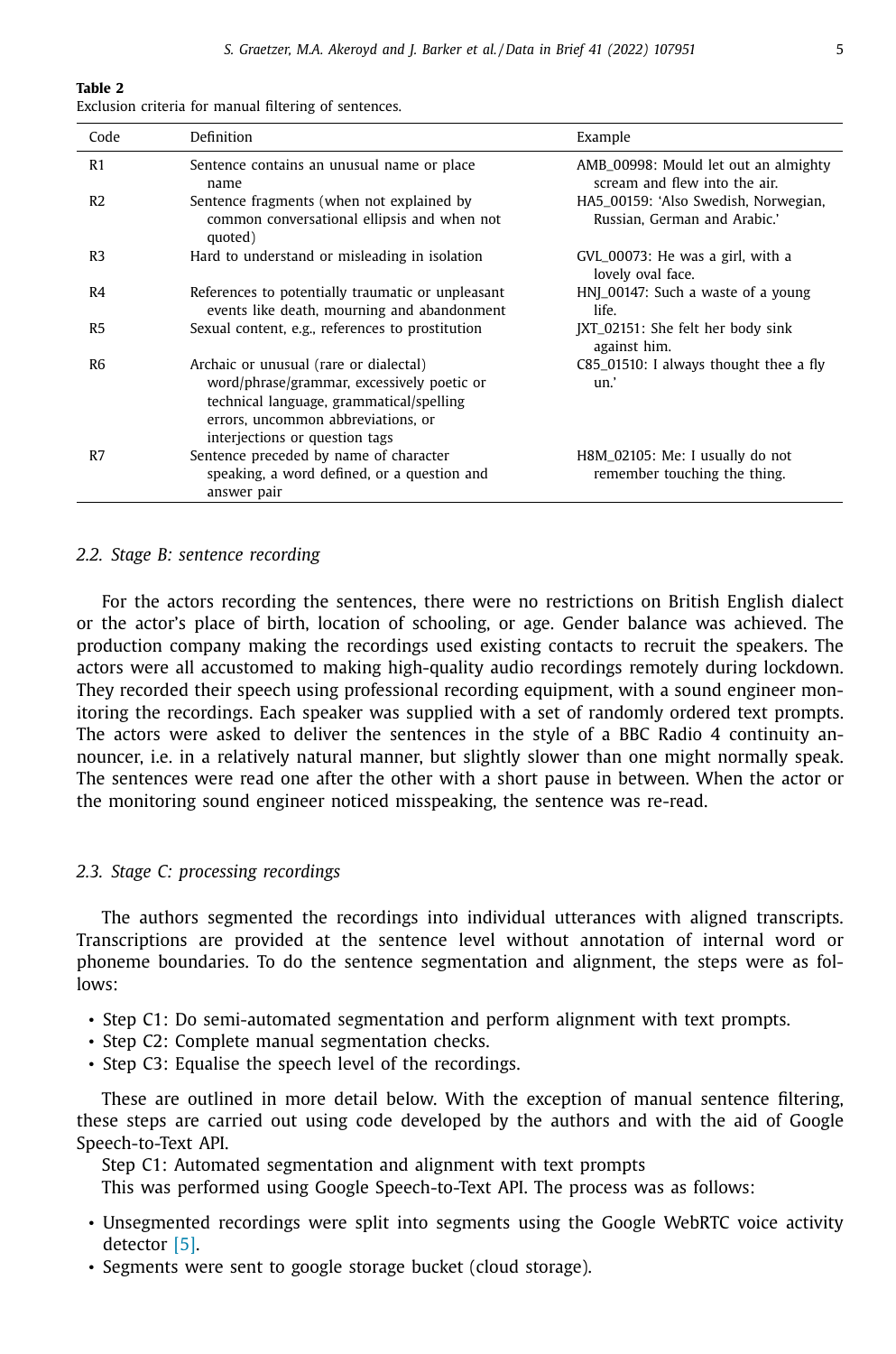#### <span id="page-5-0"></span>**Table 2**

|  |  |  |  |  |  | Exclusion criteria for manual filtering of sentences. |
|--|--|--|--|--|--|-------------------------------------------------------|
|--|--|--|--|--|--|-------------------------------------------------------|

| Code           | Definition                                                                                                                                                                                               | Example                                                               |
|----------------|----------------------------------------------------------------------------------------------------------------------------------------------------------------------------------------------------------|-----------------------------------------------------------------------|
| R1             | Sentence contains an unusual name or place<br>name                                                                                                                                                       | AMB_00998: Mould let out an almighty<br>scream and flew into the air. |
| R2             | Sentence fragments (when not explained by<br>common conversational ellipsis and when not<br>quoted)                                                                                                      | HA5_00159: 'Also Swedish, Norwegian,<br>Russian, German and Arabic.'  |
| R3             | Hard to understand or misleading in isolation                                                                                                                                                            | GVL_00073: He was a girl, with a<br>lovely oval face.                 |
| R4             | References to potentially traumatic or unpleasant<br>events like death, mourning and abandonment                                                                                                         | HNJ_00147: Such a waste of a young<br>life.                           |
| R <sub>5</sub> | Sexual content, e.g., references to prostitution                                                                                                                                                         | JXT_02151: She felt her body sink<br>against him.                     |
| R <sub>6</sub> | Archaic or unusual (rare or dialectal)<br>word/phrase/grammar, excessively poetic or<br>technical language, grammatical/spelling<br>errors, uncommon abbreviations, or<br>interjections or question tags | C85_01510: I always thought thee a fly<br>un.'                        |
| R7             | Sentence preceded by name of character<br>speaking, a word defined, or a question and<br>answer pair                                                                                                     | H8M_02105: Me: I usually do not<br>remember touching the thing.       |

#### *2.2. Stage B: sentence recording*

For the actors recording the sentences, there were no restrictions on British English dialect or the actor's place of birth, location of schooling, or age. Gender balance was achieved. The production company making the recordings used existing contacts to recruit the speakers. The actors were all accustomed to making high-quality audio recordings remotely during lockdown. They recorded their speech using professional recording equipment, with a sound engineer monitoring the recordings. Each speaker was supplied with a set of randomly ordered text prompts. The actors were asked to deliver the sentences in the style of a BBC Radio 4 continuity announcer, i.e. in a relatively natural manner, but slightly slower than one might normally speak. The sentences were read one after the other with a short pause in between. When the actor or the monitoring sound engineer noticed misspeaking, the sentence was re-read.

#### *2.3. Stage C: processing recordings*

The authors segmented the recordings into individual utterances with aligned transcripts. Transcriptions are provided at the sentence level without annotation of internal word or phoneme boundaries. To do the sentence segmentation and alignment, the steps were as follows:

- Step C1: Do semi-automated segmentation and perform alignment with text prompts.
- Step C2: Complete manual segmentation checks.
- Step C3: Equalise the speech level of the recordings.

These are outlined in more detail below. With the exception of manual sentence filtering, these steps are carried out using code developed by the authors and with the aid of Google Speech-to-Text API.

Step C1: Automated segmentation and alignment with text prompts

This was performed using Google Speech-to-Text API. The process was as follows:

- Unsegmented recordings were split into segments using the Google WebRTC voice activity detector [\[5\].](#page-7-0)
- Segments were sent to google storage bucket (cloud storage).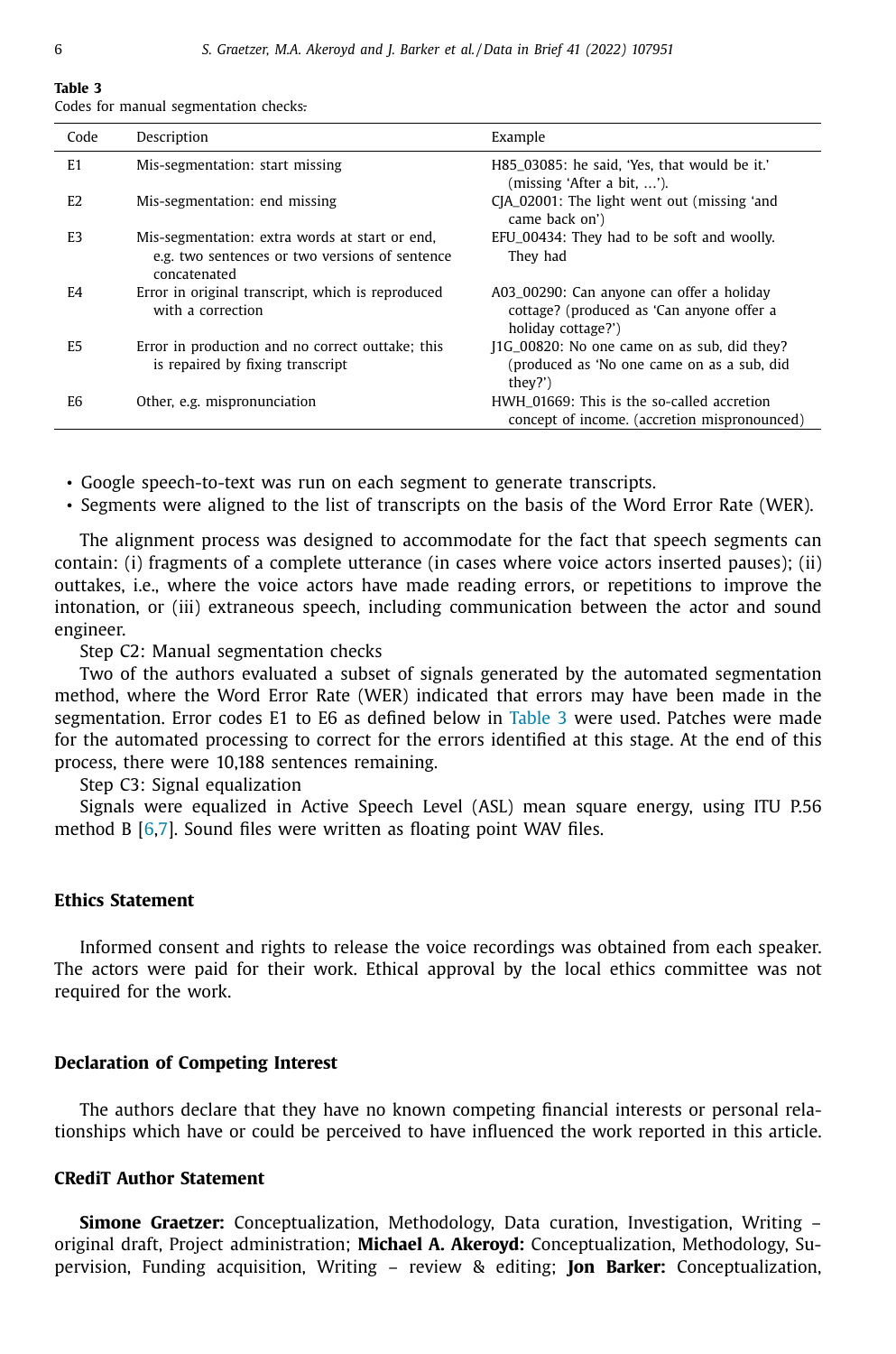#### **Table 3**

Codes for manual segmentation checks.

| Code           | Description                                                                                                      | Example                                                                                                      |
|----------------|------------------------------------------------------------------------------------------------------------------|--------------------------------------------------------------------------------------------------------------|
| E <sub>1</sub> | Mis-segmentation: start missing                                                                                  | H85_03085: he said, 'Yes, that would be it.'<br>(missing 'After a bit, ').                                   |
| E <sub>2</sub> | Mis-segmentation: end missing                                                                                    | CJA_02001: The light went out (missing 'and<br>came back on')                                                |
| E <sub>3</sub> | Mis-segmentation: extra words at start or end,<br>e.g. two sentences or two versions of sentence<br>concatenated | EFU_00434: They had to be soft and woolly.<br>They had                                                       |
| F <sub>4</sub> | Error in original transcript, which is reproduced<br>with a correction                                           | A03_00290: Can anyone can offer a holiday<br>cottage? (produced as 'Can anyone offer a<br>holiday cottage?') |
| E5             | Error in production and no correct outtake; this<br>is repaired by fixing transcript                             | J1G_00820: No one came on as sub, did they?<br>(produced as 'No one came on as a sub, did<br>they?')         |
| E6             | Other, e.g. mispronunciation                                                                                     | HWH 01669: This is the so-called accretion<br>concept of income, (accretion mispronounced)                   |

• Google speech-to-text was run on each segment to generate transcripts.

• Segments were aligned to the list of transcripts on the basis of the Word Error Rate (WER).

The alignment process was designed to accommodate for the fact that speech segments can contain: (i) fragments of a complete utterance (in cases where voice actors inserted pauses); (ii) outtakes, i.e., where the voice actors have made reading errors, or repetitions to improve the intonation, or (iii) extraneous speech, including communication between the actor and sound engineer.

Step C2: Manual segmentation checks

Two of the authors evaluated a subset of signals generated by the automated segmentation method, where the Word Error Rate (WER) indicated that errors may have been made in the segmentation. Error codes E1 to E6 as defined below in Table 3 were used. Patches were made for the automated processing to correct for the errors identified at this stage. At the end of this process, there were 10,188 sentences remaining.

Step C3: Signal equalization

Signals were equalized in Active Speech Level (ASL) mean square energy, using ITU P.56 method B  $[6,7]$ . Sound files were written as floating point WAV files.

#### **Ethics Statement**

Informed consent and rights to release the voice recordings was obtained from each speaker. The actors were paid for their work. Ethical approval by the local ethics committee was not required for the work.

#### **Declaration of Competing Interest**

The authors declare that they have no known competing financial interests or personal relationships which have or could be perceived to have influenced the work reported in this article.

#### **CRediT Author Statement**

**Simone Graetzer:** Conceptualization, Methodology, Data curation, Investigation, Writing – original draft, Project administration; **Michael A. Akeroyd:** Conceptualization, Methodology, Supervision, Funding acquisition, Writing – review & editing; **Jon Barker:** Conceptualization,